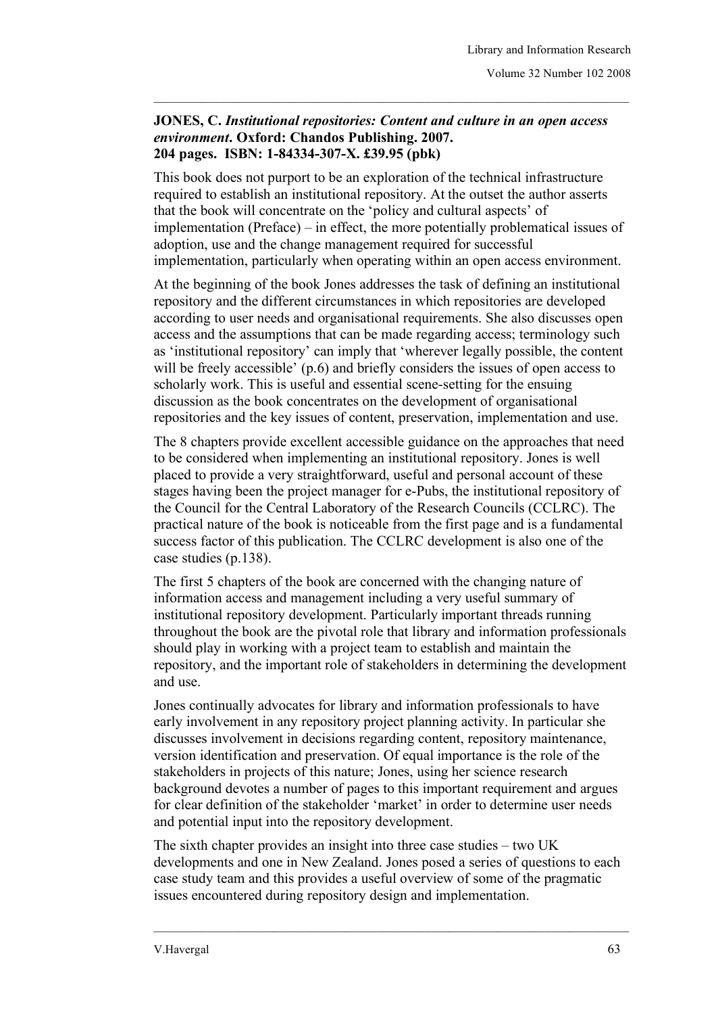## **JONES, C.** *Institutional repositories: Content and culture in an open access environment***. Oxford: Chandos Publishing. 2007. 204 pages. ISBN: 1-84334-307-X. £39.95 (pbk)**

 $\_$  , and the set of the set of the set of the set of the set of the set of the set of the set of the set of the set of the set of the set of the set of the set of the set of the set of the set of the set of the set of th

This book does not purport to be an exploration of the technical infrastructure required to establish an institutional repository. At the outset the author asserts that the book will concentrate on the 'policy and cultural aspects' of implementation (Preface) – in effect, the more potentially problematical issues of adoption, use and the change management required for successful implementation, particularly when operating within an open access environment.

At the beginning of the book Jones addresses the task of defining an institutional repository and the different circumstances in which repositories are developed according to user needs and organisational requirements. She also discusses open access and the assumptions that can be made regarding access; terminology such as 'institutional repository' can imply that 'wherever legally possible, the content will be freely accessible' (p.6) and briefly considers the issues of open access to scholarly work. This is useful and essential scene-setting for the ensuing discussion as the book concentrates on the development of organisational repositories and the key issues of content, preservation, implementation and use.

The 8 chapters provide excellent accessible guidance on the approaches that need to be considered when implementing an institutional repository. Jones is well placed to provide a very straightforward, useful and personal account of these stages having been the project manager for e-Pubs, the institutional repository of the Council for the Central Laboratory of the Research Councils (CCLRC). The practical nature of the book is noticeable from the first page and is a fundamental success factor of this publication. The CCLRC development is also one of the case studies (p.138).

The first 5 chapters of the book are concerned with the changing nature of information access and management including a very useful summary of institutional repository development. Particularly important threads running throughout the book are the pivotal role that library and information professionals should play in working with a project team to establish and maintain the repository, and the important role of stakeholders in determining the development and use.

Jones continually advocates for library and information professionals to have early involvement in any repository project planning activity. In particular she discusses involvement in decisions regarding content, repository maintenance, version identification and preservation. Of equal importance is the role of the stakeholders in projects of this nature; Jones, using her science research background devotes a number of pages to this important requirement and argues for clear definition of the stakeholder 'market' in order to determine user needs and potential input into the repository development.

The sixth chapter provides an insight into three case studies – two UK developments and one in New Zealand. Jones posed a series of questions to each case study team and this provides a useful overview of some of the pragmatic issues encountered during repository design and implementation.